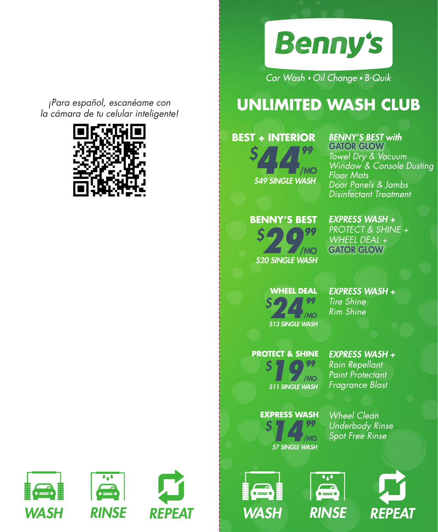

Car Wash . Oil Change . B-Quik

# **UNLIMITED WASH CLUB**

## **BEST + INTERIOR**

**144 A 39<br>
549 SINGLE WASH** *\$* /MO

## **BENNY'S BEST with**

**GATOR GLOW**<br>Towel Dry & Vacuum Window<sup>'</sup> & Console Dusting **Floor Mats** Door Panels & Jambs **Disinfectant Treatment** 

### **BENNY'S BEST**

**\$20 SINGLE WASH** *\$* /MO

#### *EXPRESS WASH + PROTECT & SHINE +*

*WHEEL DEAL +*  GATOR GLOW

## *\$* **24 P**<br>**\$13 SINGLE WASH** /MO

**WHEEL DEAL** 

**EXPRESS WASH + Tire Shine Rim Shine** 

#### **PROTECT & SHINE**

*\$* **1999**<br>**\$11 SINGLE WASH** /MO **EXPRESS WASH + Rain Repellant** Paint Protectant **Fragrance Blast** 

*\$* **1499**<br>*\$7 SINGLE WASH* /MO **EXPRESS WASH**

**Wheel Clean Underbody Rinse** Spot Free Rinse







*¡Para español, escanéame con la cámara de tu celular inteligente!*